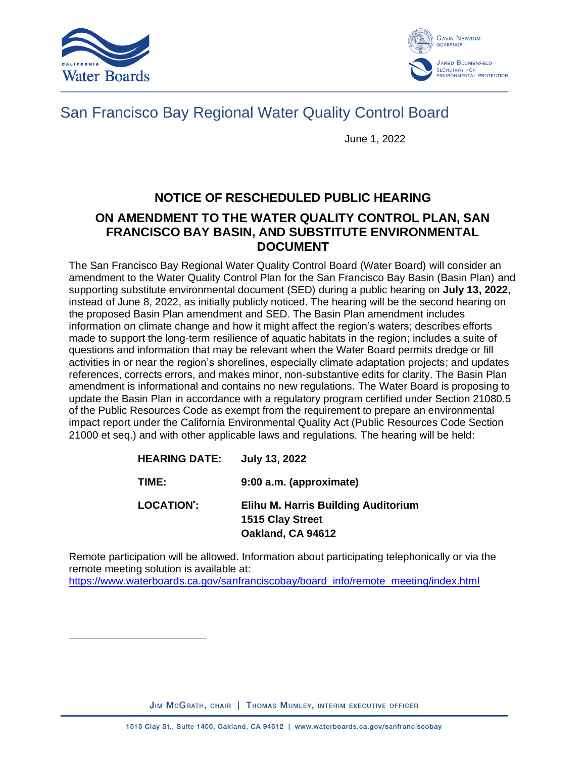



# San Francisco Bay Regional Water Quality Control Board

June 1, 2022

## **NOTICE OF RESCHEDULED PUBLIC HEARING**

### **ON AMENDMENT TO THE WATER QUALITY CONTROL PLAN, SAN FRANCISCO BAY BASIN, AND SUBSTITUTE ENVIRONMENTAL DOCUMENT**

The San Francisco Bay Regional Water Quality Control Board (Water Board) will consider an amendment to the Water Quality Control Plan for the San Francisco Bay Basin (Basin Plan) and supporting substitute environmental document (SED) during a public hearing on **July 13, 2022**, instead of June 8, 2022, as initially publicly noticed. The hearing will be the second hearing on the proposed Basin Plan amendment and SED. The Basin Plan amendment includes information on climate change and how it might affect the region's waters; describes efforts made to support the long-term resilience of aquatic habitats in the region; includes a suite of questions and information that may be relevant when the Water Board permits dredge or fill activities in or near the region's shorelines, especially climate adaptation projects; and updates references, corrects errors, and makes minor, non-substantive edits for clarity. The Basin Plan amendment is informational and contains no new regulations. The Water Board is proposing to update the Basin Plan in accordance with a regulatory program certified under Section 21080.5 of the Public Resources Code as exempt from the requirement to prepare an environmental impact report under the California Environmental Quality Act (Public Resources Code Section 21000 et seq.) and with other applicable laws and regulations. The hearing will be held:

| <b>HEARING DATE:</b> | <b>July 13, 2022</b>                                                                |
|----------------------|-------------------------------------------------------------------------------------|
| TIME:                | 9:00 a.m. (approximate)                                                             |
| <b>LOCATION*:</b>    | <b>Elihu M. Harris Building Auditorium</b><br>1515 Clay Street<br>Oakland, CA 94612 |

Remote participation will be allowed. Information about participating telephonically or via the remote meeting solution is available at: [https://www.waterboards.ca.gov/sanfranciscobay/board\\_info/remote\\_meeting/index.html](https://www.waterboards.ca.gov/sanfranciscobay/board_info/remote_meeting/index.html)

JIM MCGRATH, CHAIR | THOMAS MUMLEY, INTERIM EXECUTIVE OFFICER